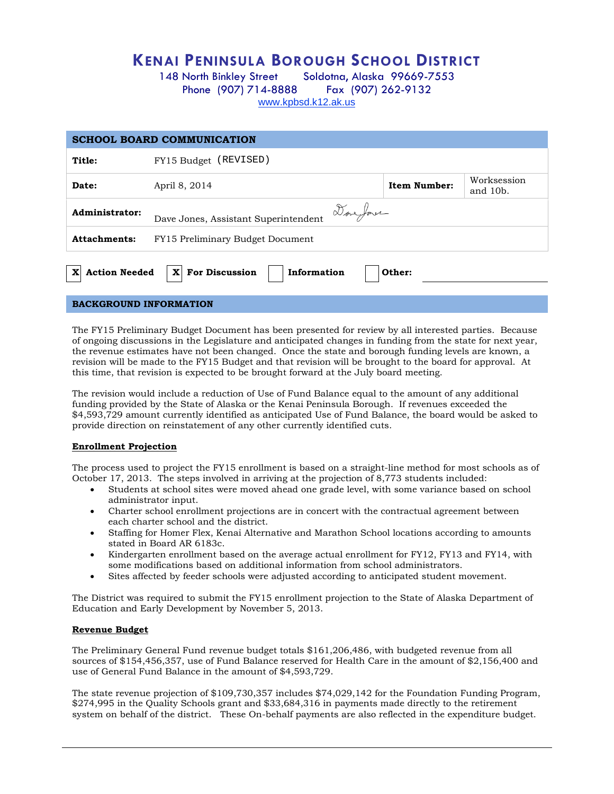# **KENAI PENINSULA BOROUGH SCHOOL DISTRICT**

148 North Binkley Street Soldotna, Alaska 99669-7553 Phone (907) 714-8888 Fax (907) 262-9132 [www.kpbsd.k12.ak.us](http://www.kpbsd.k12.ak.us/)

| <b>SCHOOL BOARD COMMUNICATION</b>                                                           |                                                                    |  |  |  |
|---------------------------------------------------------------------------------------------|--------------------------------------------------------------------|--|--|--|
| Title:                                                                                      | FY15 Budget (REVISED)                                              |  |  |  |
| Date:                                                                                       | Worksession<br><b>Item Number:</b><br>April 8, 2014<br>and $10b$ . |  |  |  |
| Administrator:                                                                              | Doveforer<br>Dave Jones, Assistant Superintendent                  |  |  |  |
| <b>Attachments:</b>                                                                         | FY15 Preliminary Budget Document                                   |  |  |  |
| <b>For Discussion</b><br>$\mathbf{x}$<br><b>Action Needed</b><br>Information<br>X<br>Other: |                                                                    |  |  |  |
| <b>DACKGDOUND INFODMATION</b>                                                               |                                                                    |  |  |  |

#### **BACKGROUND INFORMATION**

The FY15 Preliminary Budget Document has been presented for review by all interested parties. Because of ongoing discussions in the Legislature and anticipated changes in funding from the state for next year, the revenue estimates have not been changed. Once the state and borough funding levels are known, a revision will be made to the FY15 Budget and that revision will be brought to the board for approval. At this time, that revision is expected to be brought forward at the July board meeting.

The revision would include a reduction of Use of Fund Balance equal to the amount of any additional funding provided by the State of Alaska or the Kenai Peninsula Borough. If revenues exceeded the \$4,593,729 amount currently identified as anticipated Use of Fund Balance, the board would be asked to provide direction on reinstatement of any other currently identified cuts.

### **Enrollment Projection**

The process used to project the FY15 enrollment is based on a straight-line method for most schools as of October 17, 2013. The steps involved in arriving at the projection of 8,773 students included:

- Students at school sites were moved ahead one grade level, with some variance based on school administrator input.
- Charter school enrollment projections are in concert with the contractual agreement between each charter school and the district.
- Staffing for Homer Flex, Kenai Alternative and Marathon School locations according to amounts stated in Board AR 6183c.
- Kindergarten enrollment based on the average actual enrollment for FY12, FY13 and FY14, with some modifications based on additional information from school administrators.
- Sites affected by feeder schools were adjusted according to anticipated student movement.

The District was required to submit the FY15 enrollment projection to the State of Alaska Department of Education and Early Development by November 5, 2013.

#### **Revenue Budget**

The Preliminary General Fund revenue budget totals \$161,206,486, with budgeted revenue from all sources of \$154,456,357, use of Fund Balance reserved for Health Care in the amount of \$2,156,400 and use of General Fund Balance in the amount of \$4,593,729.

The state revenue projection of \$109,730,357 includes \$74,029,142 for the Foundation Funding Program, \$274,995 in the Quality Schools grant and \$33,684,316 in payments made directly to the retirement system on behalf of the district. These On-behalf payments are also reflected in the expenditure budget.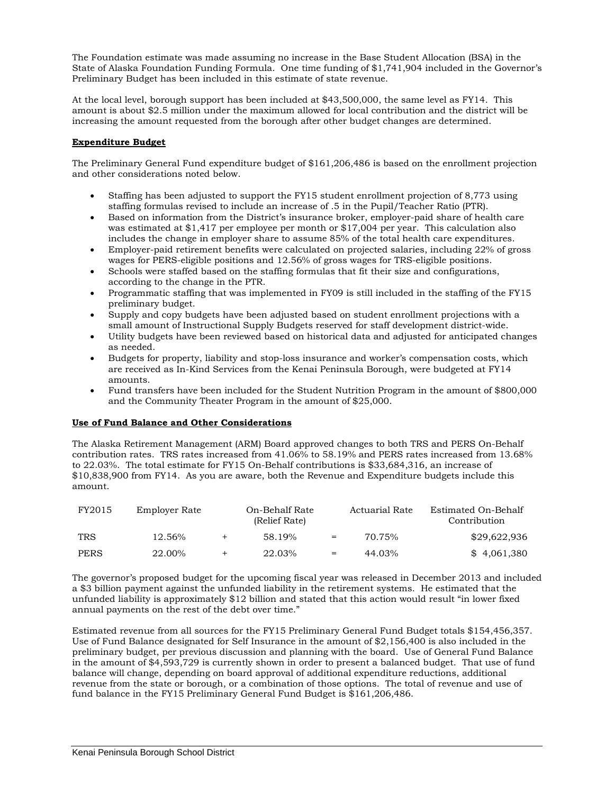The Foundation estimate was made assuming no increase in the Base Student Allocation (BSA) in the State of Alaska Foundation Funding Formula. One time funding of \$1,741,904 included in the Governor's Preliminary Budget has been included in this estimate of state revenue.

At the local level, borough support has been included at \$43,500,000, the same level as FY14. This amount is about \$2.5 million under the maximum allowed for local contribution and the district will be increasing the amount requested from the borough after other budget changes are determined.

## **Expenditure Budget**

The Preliminary General Fund expenditure budget of \$161,206,486 is based on the enrollment projection and other considerations noted below.

- Staffing has been adjusted to support the FY15 student enrollment projection of 8,773 using staffing formulas revised to include an increase of .5 in the Pupil/Teacher Ratio (PTR).
- Based on information from the District's insurance broker, employer-paid share of health care was estimated at \$1,417 per employee per month or \$17,004 per year. This calculation also includes the change in employer share to assume 85% of the total health care expenditures.
- Employer-paid retirement benefits were calculated on projected salaries, including 22% of gross wages for PERS-eligible positions and 12.56% of gross wages for TRS-eligible positions.
- Schools were staffed based on the staffing formulas that fit their size and configurations, according to the change in the PTR.
- Programmatic staffing that was implemented in FY09 is still included in the staffing of the FY15 preliminary budget.
- Supply and copy budgets have been adjusted based on student enrollment projections with a small amount of Instructional Supply Budgets reserved for staff development district-wide.
- Utility budgets have been reviewed based on historical data and adjusted for anticipated changes as needed.
- Budgets for property, liability and stop-loss insurance and worker's compensation costs, which are received as In-Kind Services from the Kenai Peninsula Borough, were budgeted at FY14 amounts
- Fund transfers have been included for the Student Nutrition Program in the amount of \$800,000 and the Community Theater Program in the amount of \$25,000.

#### **Use of Fund Balance and Other Considerations**

The Alaska Retirement Management (ARM) Board approved changes to both TRS and PERS On-Behalf contribution rates. TRS rates increased from 41.06% to 58.19% and PERS rates increased from 13.68% to 22.03%. The total estimate for FY15 On-Behalf contributions is \$33,684,316, an increase of \$10,838,900 from FY14. As you are aware, both the Revenue and Expenditure budgets include this amount.

| FY2015      | Employer Rate |           | On-Behalf Rate<br>(Relief Rate) |     | Actuarial Rate | Estimated On-Behalf<br>Contribution |
|-------------|---------------|-----------|---------------------------------|-----|----------------|-------------------------------------|
| <b>TRS</b>  | 12.56%        | $\ddot{}$ | 58.19%                          | $=$ | 70.75%         | \$29,622,936                        |
| <b>PERS</b> | 22.00%        | $+$       | 22.03%                          | $=$ | 44.03%         | \$4.061.380                         |

The governor's proposed budget for the upcoming fiscal year was released in December 2013 and included a \$3 billion payment against the unfunded liability in the retirement systems. He estimated that the unfunded liability is approximately \$12 billion and stated that this action would result "in lower fixed annual payments on the rest of the debt over time."

Estimated revenue from all sources for the FY15 Preliminary General Fund Budget totals \$154,456,357. Use of Fund Balance designated for Self Insurance in the amount of \$2,156,400 is also included in the preliminary budget, per previous discussion and planning with the board. Use of General Fund Balance in the amount of \$4,593,729 is currently shown in order to present a balanced budget. That use of fund balance will change, depending on board approval of additional expenditure reductions, additional revenue from the state or borough, or a combination of those options. The total of revenue and use of fund balance in the FY15 Preliminary General Fund Budget is \$161,206,486.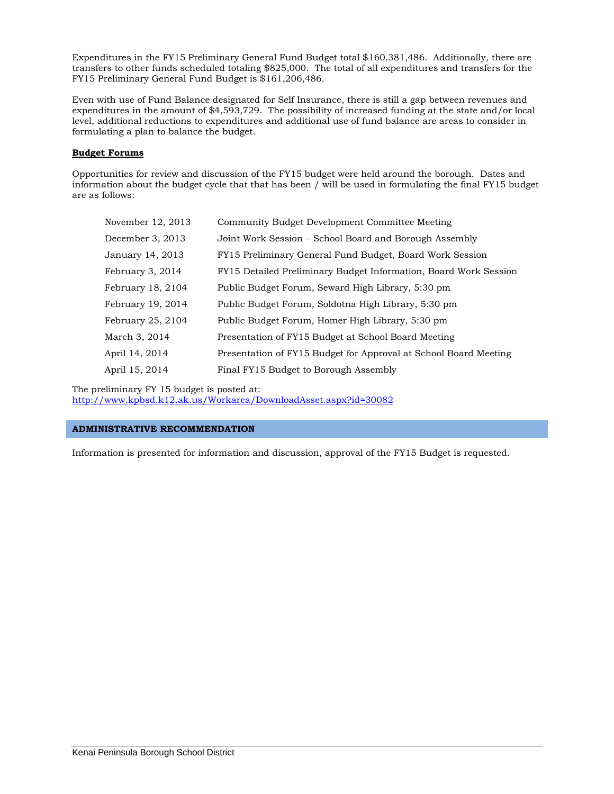Expenditures in the FY15 Preliminary General Fund Budget total \$160,381,486. Additionally, there are transfers to other funds scheduled totaling \$825,000. The total of all expenditures and transfers for the FY15 Preliminary General Fund Budget is \$161,206,486.

Even with use of Fund Balance designated for Self Insurance, there is still a gap between revenues and expenditures in the amount of \$4,593,729. The possibility of increased funding at the state and/or local level, additional reductions to expenditures and additional use of fund balance are areas to consider in formulating a plan to balance the budget.

## **Budget Forums**

Opportunities for review and discussion of the FY15 budget were held around the borough. Dates and information about the budget cycle that that has been / will be used in formulating the final FY15 budget are as follows:

| November 12, 2013 | Community Budget Development Committee Meeting                   |
|-------------------|------------------------------------------------------------------|
| December 3, 2013  | Joint Work Session – School Board and Borough Assembly           |
| January 14, 2013  | FY15 Preliminary General Fund Budget, Board Work Session         |
| February 3, 2014  | FY15 Detailed Preliminary Budget Information, Board Work Session |
| February 18, 2104 | Public Budget Forum, Seward High Library, 5:30 pm                |
| February 19, 2014 | Public Budget Forum, Soldotna High Library, 5:30 pm              |
| February 25, 2104 | Public Budget Forum, Homer High Library, 5:30 pm                 |
| March 3, 2014     | Presentation of FY15 Budget at School Board Meeting              |
| April 14, 2014    | Presentation of FY15 Budget for Approval at School Board Meeting |
| April 15, 2014    | Final FY15 Budget to Borough Assembly                            |

The preliminary FY 15 budget is posted at:

<http://www.kpbsd.k12.ak.us/Workarea/DownloadAsset.aspx?id=30082>

#### **ADMINISTRATIVE RECOMMENDATION**

Information is presented for information and discussion, approval of the FY15 Budget is requested.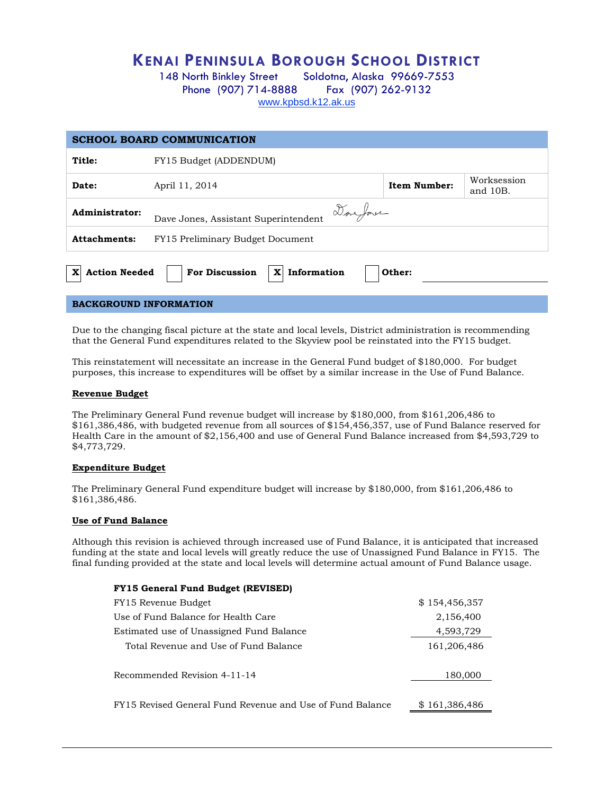# **KENAI PENINSULA BOROUGH SCHOOL DISTRICT**

148 North Binkley Street Soldotna, Alaska 99669-7553 Phone (907) 714-8888 Fax (907) 262-9132 [www.kpbsd.k12.ak.us](http://www.kpbsd.k12.ak.us/)

| <b>SCHOOL BOARD COMMUNICATION</b>                                                                      |                                                              |  |  |  |
|--------------------------------------------------------------------------------------------------------|--------------------------------------------------------------|--|--|--|
| Title:                                                                                                 | FY15 Budget (ADDENDUM)                                       |  |  |  |
| Date:                                                                                                  | Worksession<br>Item Number:<br>April 11, 2014<br>and $10B$ . |  |  |  |
| Done Jones<br>Administrator:<br>Dave Jones, Assistant Superintendent                                   |                                                              |  |  |  |
| <b>Attachments:</b>                                                                                    | FY15 Preliminary Budget Document                             |  |  |  |
| <b>For Discussion</b><br>Information<br><b>Action Needed</b><br>$\mathbf{x}$<br>$\mathbf{x}$<br>Other: |                                                              |  |  |  |
| <b>BACKGROUND INFORMATION</b>                                                                          |                                                              |  |  |  |

Due to the changing fiscal picture at the state and local levels, District administration is recommending that the General Fund expenditures related to the Skyview pool be reinstated into the FY15 budget.

This reinstatement will necessitate an increase in the General Fund budget of \$180,000. For budget purposes, this increase to expenditures will be offset by a similar increase in the Use of Fund Balance.

#### **Revenue Budget**

The Preliminary General Fund revenue budget will increase by \$180,000, from \$161,206,486 to \$161,386,486, with budgeted revenue from all sources of \$154,456,357, use of Fund Balance reserved for Health Care in the amount of \$2,156,400 and use of General Fund Balance increased from \$4,593,729 to \$4,773,729.

#### **Expenditure Budget**

The Preliminary General Fund expenditure budget will increase by \$180,000, from \$161,206,486 to \$161,386,486.

#### **Use of Fund Balance**

Although this revision is achieved through increased use of Fund Balance, it is anticipated that increased funding at the state and local levels will greatly reduce the use of Unassigned Fund Balance in FY15. The final funding provided at the state and local levels will determine actual amount of Fund Balance usage.

#### **FY15 General Fund Budget (REVISED)**

| FY15 Revenue Budget                                       | \$154,456,357 |
|-----------------------------------------------------------|---------------|
| Use of Fund Balance for Health Care                       | 2,156,400     |
| Estimated use of Unassigned Fund Balance                  | 4,593,729     |
| Total Revenue and Use of Fund Balance                     | 161,206,486   |
| Recommended Revision 4-11-14                              | 180,000       |
| FY15 Revised General Fund Revenue and Use of Fund Balance | \$161,386,486 |